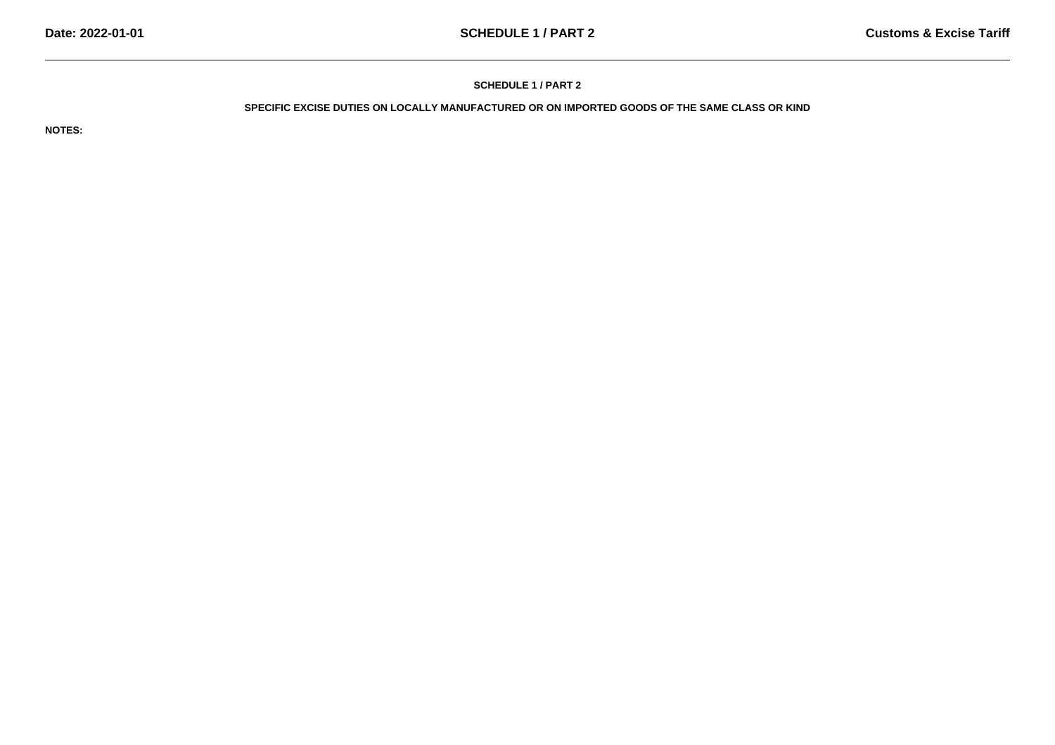## **SCHEDULE 1 / PART 2**

# **SPECIFIC EXCISE DUTIES ON LOCALLY MANUFACTURED OR ON IMPORTED GOODS OF THE SAME CLASS OR KIND**

**NOTES:**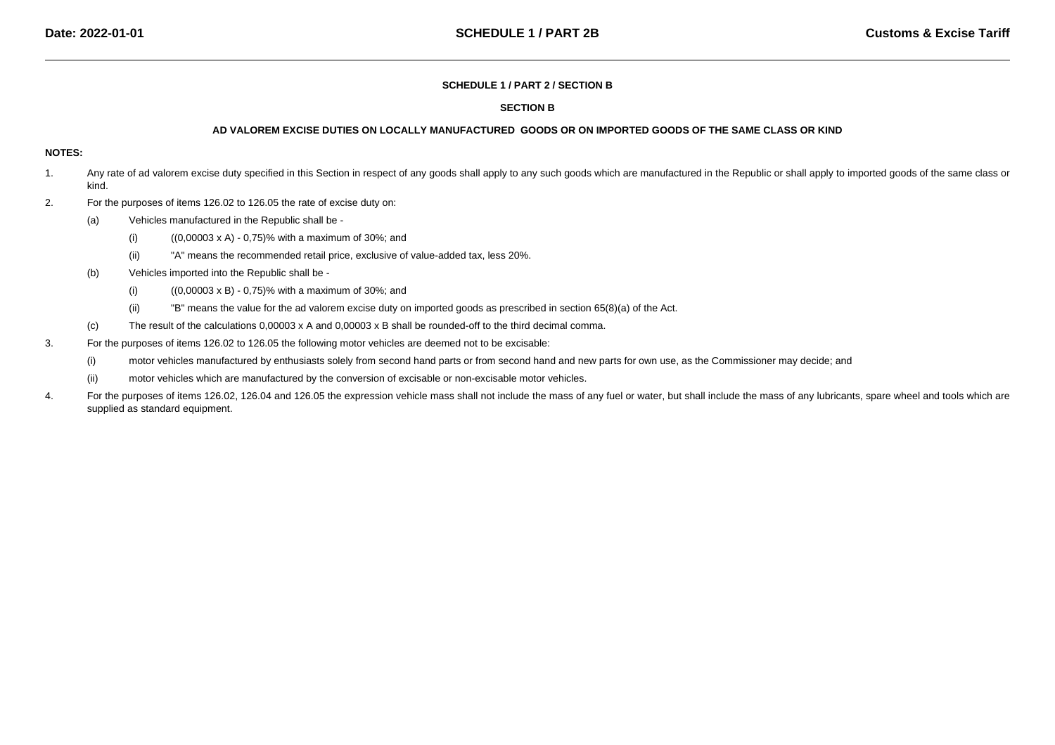#### **SCHEDULE 1 / PART 2 / SECTION B**

#### **SECTION B**

### **AD VALOREM EXCISE DUTIES ON LOCALLY MANUFACTURED GOODS OR ON IMPORTED GOODS OF THE SAME CLASS OR KIND**

#### **NOTES:**

- 1.Any rate of ad valorem excise duty specified in this Section in respect of any goods shall apply to any such goods which are manufactured in the Republic or shall apply to imported goods of the same class or kind.
- 2. For the purposes of items 126.02 to 126.05 the rate of excise duty on:
	- (a) Vehicles manufactured in the Republic shall be -
		- (i)((0,00003 x A) - 0,75)% with a maximum of 30%; and
		- (ii)"A" means the recommended retail price, exclusive of value-added tax, less 20%.
	- (b) Vehicles imported into the Republic shall be -
		- (i)((0,00003 x B) - 0,75)% with a maximum of 30%; and
		- (ii)"B" means the value for the ad valorem excise duty on imported goods as prescribed in section 65(8)(a) of the Act.
	- (c)The result of the calculations 0,00003 x A and 0,00003 x B shall be rounded-off to the third decimal comma.
- 3. For the purposes of items 126.02 to 126.05 the following motor vehicles are deemed not to be excisable:
	- (i)motor vehicles manufactured by enthusiasts solely from second hand parts or from second hand and new parts for own use, as the Commissioner may decide; and
	- (ii)motor vehicles which are manufactured by the conversion of excisable or non-excisable motor vehicles.
- 4.For the purposes of items 126.02, 126.04 and 126.05 the expression vehicle mass shall not include the mass of any fuel or water, but shall include the mass of any lubricants, spare wheel and tools which are supplied as standard equipment.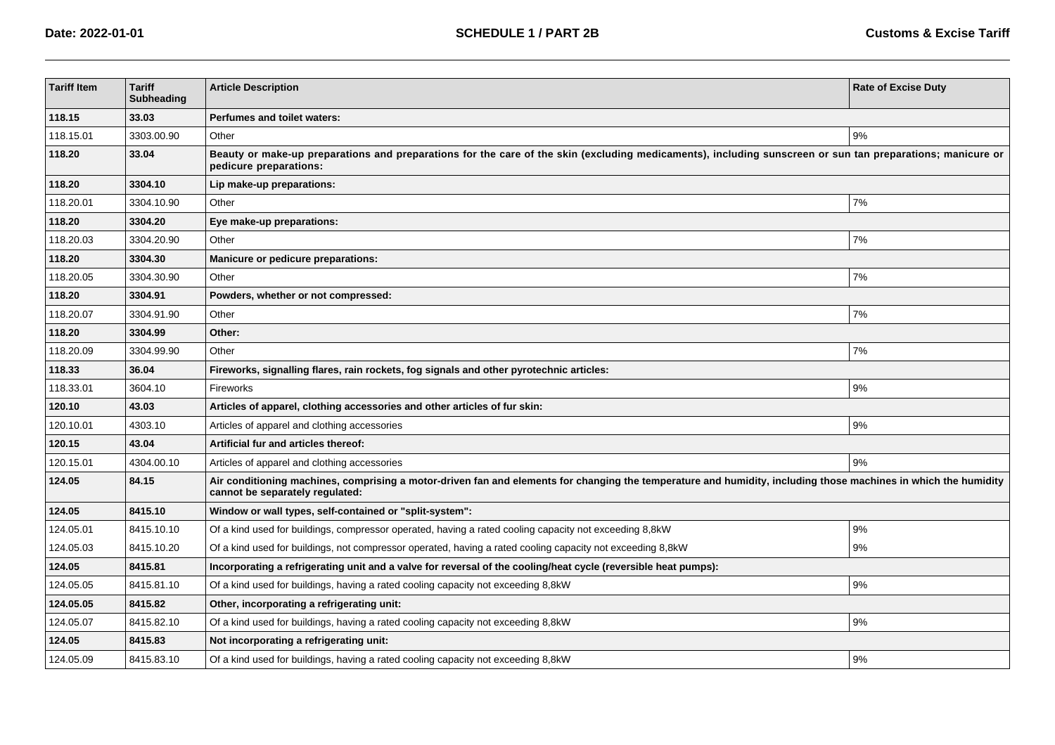| <b>Tariff Item</b> | <b>Tariff</b><br><b>Subheading</b> | <b>Article Description</b>                                                                                                                                                                         | <b>Rate of Excise Duty</b> |  |
|--------------------|------------------------------------|----------------------------------------------------------------------------------------------------------------------------------------------------------------------------------------------------|----------------------------|--|
| 118.15             | 33.03                              | Perfumes and toilet waters:                                                                                                                                                                        |                            |  |
| 118.15.01          | 3303.00.90                         | Other                                                                                                                                                                                              | 9%                         |  |
| 118.20             | 33.04                              | Beauty or make-up preparations and preparations for the care of the skin (excluding medicaments), including sunscreen or sun tan preparations; manicure or<br>pedicure preparations:               |                            |  |
| 118.20             | 3304.10                            | Lip make-up preparations:                                                                                                                                                                          |                            |  |
| 118.20.01          | 3304.10.90                         | Other                                                                                                                                                                                              | 7%                         |  |
| 118.20             | 3304.20                            | Eye make-up preparations:                                                                                                                                                                          |                            |  |
| 118.20.03          | 3304.20.90                         | Other                                                                                                                                                                                              | 7%                         |  |
| 118.20             | 3304.30                            | Manicure or pedicure preparations:                                                                                                                                                                 |                            |  |
| 118.20.05          | 3304.30.90                         | Other                                                                                                                                                                                              | 7%                         |  |
| 118.20             | 3304.91                            | Powders, whether or not compressed:                                                                                                                                                                |                            |  |
| 118.20.07          | 3304.91.90                         | Other                                                                                                                                                                                              | 7%                         |  |
| 118.20             | 3304.99                            | Other:                                                                                                                                                                                             |                            |  |
| 118.20.09          | 3304.99.90                         | Other                                                                                                                                                                                              | 7%                         |  |
| 118.33             | 36.04                              | Fireworks, signalling flares, rain rockets, fog signals and other pyrotechnic articles:                                                                                                            |                            |  |
| 118.33.01          | 3604.10                            | Fireworks                                                                                                                                                                                          | 9%                         |  |
| 120.10             | 43.03                              | Articles of apparel, clothing accessories and other articles of fur skin:                                                                                                                          |                            |  |
| 120.10.01          | 4303.10                            | Articles of apparel and clothing accessories                                                                                                                                                       | 9%                         |  |
| 120.15             | 43.04                              | Artificial fur and articles thereof:                                                                                                                                                               |                            |  |
| 120.15.01          | 4304.00.10                         | Articles of apparel and clothing accessories                                                                                                                                                       | 9%                         |  |
| 124.05             | 84.15                              | Air conditioning machines, comprising a motor-driven fan and elements for changing the temperature and humidity, including those machines in which the humidity<br>cannot be separately regulated: |                            |  |
| 124.05             | 8415.10                            | Window or wall types, self-contained or "split-system":                                                                                                                                            |                            |  |
| 124.05.01          | 8415.10.10                         | Of a kind used for buildings, compressor operated, having a rated cooling capacity not exceeding 8,8kW                                                                                             | 9%                         |  |
| 124.05.03          | 8415.10.20                         | Of a kind used for buildings, not compressor operated, having a rated cooling capacity not exceeding 8,8kW                                                                                         | 9%                         |  |
| 124.05             | 8415.81                            | Incorporating a refrigerating unit and a valve for reversal of the cooling/heat cycle (reversible heat pumps):                                                                                     |                            |  |
| 124.05.05          | 8415.81.10                         | Of a kind used for buildings, having a rated cooling capacity not exceeding 8,8kW                                                                                                                  | 9%                         |  |
| 124.05.05          | 8415.82                            | Other, incorporating a refrigerating unit:                                                                                                                                                         |                            |  |
| 124.05.07          | 8415.82.10                         | Of a kind used for buildings, having a rated cooling capacity not exceeding 8,8kW                                                                                                                  | 9%                         |  |
| 124.05             | 8415.83                            | Not incorporating a refrigerating unit:                                                                                                                                                            |                            |  |
| 124.05.09          | 8415.83.10                         | Of a kind used for buildings, having a rated cooling capacity not exceeding 8,8kW                                                                                                                  | 9%                         |  |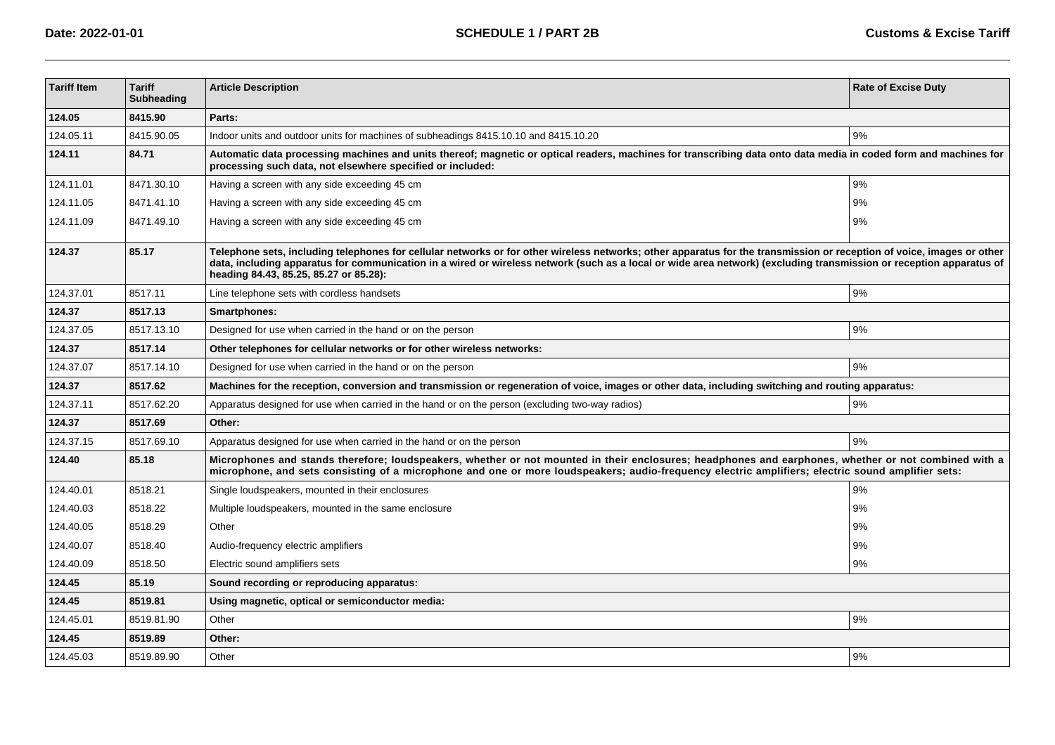| <b>Tariff Item</b> | <b>Tariff</b><br><b>Subheading</b> | <b>Article Description</b>                                                                                                                                                                                                                                                                                                                                                              | <b>Rate of Excise Duty</b> |  |
|--------------------|------------------------------------|-----------------------------------------------------------------------------------------------------------------------------------------------------------------------------------------------------------------------------------------------------------------------------------------------------------------------------------------------------------------------------------------|----------------------------|--|
| 124.05             | 8415.90                            | Parts:                                                                                                                                                                                                                                                                                                                                                                                  |                            |  |
| 124.05.11          | 8415.90.05                         | Indoor units and outdoor units for machines of subheadings 8415.10.10 and 8415.10.20                                                                                                                                                                                                                                                                                                    | 9%                         |  |
| 124.11             | 84.71                              | Automatic data processing machines and units thereof; magnetic or optical readers, machines for transcribing data onto data media in coded form and machines for<br>processing such data, not elsewhere specified or included:                                                                                                                                                          |                            |  |
| 124.11.01          | 8471.30.10                         | Having a screen with any side exceeding 45 cm                                                                                                                                                                                                                                                                                                                                           | 9%                         |  |
| 124.11.05          | 8471.41.10                         | Having a screen with any side exceeding 45 cm                                                                                                                                                                                                                                                                                                                                           | 9%                         |  |
| 124.11.09          | 8471.49.10                         | Having a screen with any side exceeding 45 cm                                                                                                                                                                                                                                                                                                                                           | 9%                         |  |
| 124.37             | 85.17                              | Telephone sets, including telephones for cellular networks or for other wireless networks; other apparatus for the transmission or reception of voice, images or other<br>data, including apparatus for communication in a wired or wireless network (such as a local or wide area network) (excluding transmission or reception apparatus of<br>heading 84.43, 85.25, 85.27 or 85.28): |                            |  |
| 124.37.01          | 8517.11                            | Line telephone sets with cordless handsets                                                                                                                                                                                                                                                                                                                                              | 9%                         |  |
| 124.37             | 8517.13                            | Smartphones:                                                                                                                                                                                                                                                                                                                                                                            |                            |  |
| 124.37.05          | 8517.13.10                         | Designed for use when carried in the hand or on the person                                                                                                                                                                                                                                                                                                                              | 9%                         |  |
| 124.37             | 8517.14                            | Other telephones for cellular networks or for other wireless networks:                                                                                                                                                                                                                                                                                                                  |                            |  |
| 124.37.07          | 8517.14.10                         | Designed for use when carried in the hand or on the person                                                                                                                                                                                                                                                                                                                              | 9%                         |  |
| 124.37             | 8517.62                            | Machines for the reception, conversion and transmission or regeneration of voice, images or other data, including switching and routing apparatus:                                                                                                                                                                                                                                      |                            |  |
| 124.37.11          | 8517.62.20                         | Apparatus designed for use when carried in the hand or on the person (excluding two-way radios)                                                                                                                                                                                                                                                                                         | 9%                         |  |
| 124.37             | 8517.69                            | Other:                                                                                                                                                                                                                                                                                                                                                                                  |                            |  |
| 124.37.15          | 8517.69.10                         | Apparatus designed for use when carried in the hand or on the person                                                                                                                                                                                                                                                                                                                    | 9%                         |  |
| 124.40             | 85.18                              | Microphones and stands therefore; loudspeakers, whether or not mounted in their enclosures; headphones and earphones, whether or not combined with a<br>microphone, and sets consisting of a microphone and one or more loudspeakers; audio-frequency electric amplifiers; electric sound amplifier sets:                                                                               |                            |  |
| 124.40.01          | 8518.21                            | Single loudspeakers, mounted in their enclosures                                                                                                                                                                                                                                                                                                                                        | 9%                         |  |
| 124.40.03          | 8518.22                            | Multiple loudspeakers, mounted in the same enclosure                                                                                                                                                                                                                                                                                                                                    | 9%                         |  |
| 124.40.05          | 8518.29                            | Other                                                                                                                                                                                                                                                                                                                                                                                   | 9%                         |  |
| 124.40.07          | 8518.40                            | Audio-frequency electric amplifiers                                                                                                                                                                                                                                                                                                                                                     | 9%                         |  |
| 124.40.09          | 8518.50                            | Electric sound amplifiers sets                                                                                                                                                                                                                                                                                                                                                          | 9%                         |  |
| 124.45             | 85.19                              | Sound recording or reproducing apparatus:                                                                                                                                                                                                                                                                                                                                               |                            |  |
| 124.45             | 8519.81                            | Using magnetic, optical or semiconductor media:                                                                                                                                                                                                                                                                                                                                         |                            |  |
| 124.45.01          | 8519.81.90                         | Other                                                                                                                                                                                                                                                                                                                                                                                   | 9%                         |  |
| 124.45             | 8519.89                            | Other:                                                                                                                                                                                                                                                                                                                                                                                  |                            |  |
| 124.45.03          | 8519.89.90                         | Other                                                                                                                                                                                                                                                                                                                                                                                   | 9%                         |  |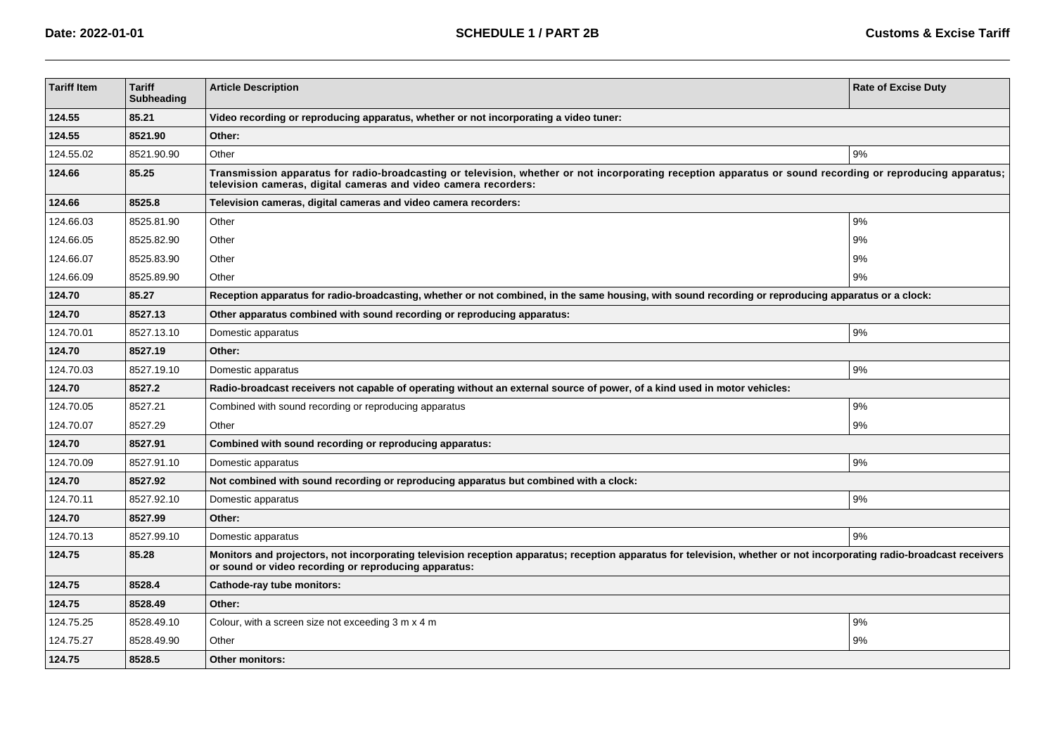| <b>Tariff Item</b> | <b>Tariff</b><br><b>Subheading</b> | <b>Article Description</b>                                                                                                                                                                                                     | <b>Rate of Excise Duty</b> |  |
|--------------------|------------------------------------|--------------------------------------------------------------------------------------------------------------------------------------------------------------------------------------------------------------------------------|----------------------------|--|
| 124.55             | 85.21                              | Video recording or reproducing apparatus, whether or not incorporating a video tuner:                                                                                                                                          |                            |  |
| 124.55             | 8521.90                            | Other:                                                                                                                                                                                                                         |                            |  |
| 124.55.02          | 8521.90.90                         | Other<br>9%                                                                                                                                                                                                                    |                            |  |
| 124.66             | 85.25                              | Transmission apparatus for radio-broadcasting or television, whether or not incorporating reception apparatus or sound recording or reproducing apparatus;<br>television cameras, digital cameras and video camera recorders:  |                            |  |
| 124.66             | 8525.8                             | Television cameras, digital cameras and video camera recorders:                                                                                                                                                                |                            |  |
| 124.66.03          | 8525.81.90                         | Other                                                                                                                                                                                                                          | 9%                         |  |
| 124.66.05          | 8525.82.90                         | Other                                                                                                                                                                                                                          | 9%                         |  |
| 124.66.07          | 8525.83.90                         | Other                                                                                                                                                                                                                          | 9%                         |  |
| 124.66.09          | 8525.89.90                         | Other                                                                                                                                                                                                                          | 9%                         |  |
| 124.70             | 85.27                              | Reception apparatus for radio-broadcasting, whether or not combined, in the same housing, with sound recording or reproducing apparatus or a clock:                                                                            |                            |  |
| 124.70             | 8527.13                            | Other apparatus combined with sound recording or reproducing apparatus:                                                                                                                                                        |                            |  |
| 124.70.01          | 8527.13.10                         | Domestic apparatus                                                                                                                                                                                                             | 9%                         |  |
| 124.70             | 8527.19                            | Other:                                                                                                                                                                                                                         |                            |  |
| 124.70.03          | 8527.19.10                         | Domestic apparatus                                                                                                                                                                                                             | 9%                         |  |
| 124.70             | 8527.2                             | Radio-broadcast receivers not capable of operating without an external source of power, of a kind used in motor vehicles:                                                                                                      |                            |  |
| 124.70.05          | 8527.21                            | Combined with sound recording or reproducing apparatus                                                                                                                                                                         | 9%                         |  |
| 124.70.07          | 8527.29                            | Other                                                                                                                                                                                                                          | 9%                         |  |
| 124.70             | 8527.91                            | Combined with sound recording or reproducing apparatus:                                                                                                                                                                        |                            |  |
| 124.70.09          | 8527.91.10                         | Domestic apparatus                                                                                                                                                                                                             | 9%                         |  |
| 124.70             | 8527.92                            | Not combined with sound recording or reproducing apparatus but combined with a clock:                                                                                                                                          |                            |  |
| 124.70.11          | 8527.92.10                         | Domestic apparatus                                                                                                                                                                                                             | 9%                         |  |
| 124.70             | 8527.99                            | Other:                                                                                                                                                                                                                         |                            |  |
| 124.70.13          | 8527.99.10                         | Domestic apparatus                                                                                                                                                                                                             | 9%                         |  |
| 124.75             | 85.28                              | Monitors and projectors, not incorporating television reception apparatus; reception apparatus for television, whether or not incorporating radio-broadcast receivers<br>or sound or video recording or reproducing apparatus: |                            |  |
| 124.75             | 8528.4                             | Cathode-ray tube monitors:                                                                                                                                                                                                     |                            |  |
| 124.75             | 8528.49                            | Other:                                                                                                                                                                                                                         |                            |  |
| 124.75.25          | 8528.49.10                         | Colour, with a screen size not exceeding 3 m x 4 m                                                                                                                                                                             | $9\%$                      |  |
| 124.75.27          | 8528.49.90                         | Other                                                                                                                                                                                                                          | 9%                         |  |
| 124.75             | 8528.5                             | <b>Other monitors:</b>                                                                                                                                                                                                         |                            |  |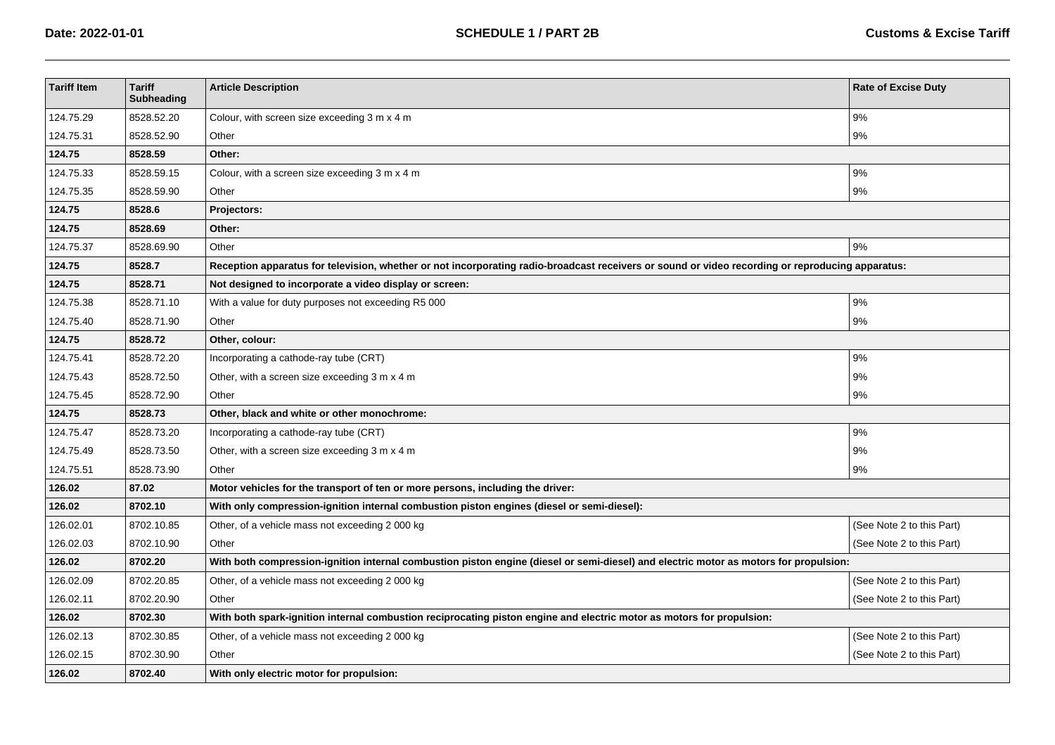| <b>Tariff Item</b> | <b>Tariff</b><br>Subheading | <b>Article Description</b>                                                                                                                       | <b>Rate of Excise Duty</b> |  |
|--------------------|-----------------------------|--------------------------------------------------------------------------------------------------------------------------------------------------|----------------------------|--|
| 124.75.29          | 8528.52.20                  | Colour, with screen size exceeding 3 m x 4 m                                                                                                     | 9%                         |  |
| 124.75.31          | 8528.52.90                  | Other                                                                                                                                            | 9%                         |  |
| 124.75             | 8528.59                     | Other:                                                                                                                                           |                            |  |
| 124.75.33          | 8528.59.15                  | Colour, with a screen size exceeding 3 m x 4 m                                                                                                   | 9%                         |  |
| 124.75.35          | 8528.59.90                  | Other                                                                                                                                            | 9%                         |  |
| 124.75             | 8528.6                      | Projectors:                                                                                                                                      |                            |  |
| 124.75             | 8528.69                     | Other:                                                                                                                                           |                            |  |
| 124.75.37          | 8528.69.90                  | Other                                                                                                                                            | 9%                         |  |
| 124.75             | 8528.7                      | Reception apparatus for television, whether or not incorporating radio-broadcast receivers or sound or video recording or reproducing apparatus: |                            |  |
| 124.75             | 8528.71                     | Not designed to incorporate a video display or screen:                                                                                           |                            |  |
| 124.75.38          | 8528.71.10                  | With a value for duty purposes not exceeding R5 000                                                                                              | 9%                         |  |
| 124.75.40          | 8528.71.90                  | Other                                                                                                                                            | $9\%$                      |  |
| 124.75             | 8528.72                     | Other, colour:                                                                                                                                   |                            |  |
| 124.75.41          | 8528.72.20                  | Incorporating a cathode-ray tube (CRT)                                                                                                           | 9%                         |  |
| 124.75.43          | 8528.72.50                  | Other, with a screen size exceeding 3 m x 4 m                                                                                                    | 9%                         |  |
| 124.75.45          | 8528.72.90                  | Other                                                                                                                                            | 9%                         |  |
| 124.75             | 8528.73                     | Other, black and white or other monochrome:                                                                                                      |                            |  |
| 124.75.47          | 8528.73.20                  | Incorporating a cathode-ray tube (CRT)                                                                                                           | 9%                         |  |
| 124.75.49          | 8528.73.50                  | Other, with a screen size exceeding 3 m x 4 m                                                                                                    | 9%                         |  |
| 124.75.51          | 8528.73.90                  | Other                                                                                                                                            | 9%                         |  |
| 126.02             | 87.02                       | Motor vehicles for the transport of ten or more persons, including the driver:                                                                   |                            |  |
| 126.02             | 8702.10                     | With only compression-ignition internal combustion piston engines (diesel or semi-diesel):                                                       |                            |  |
| 126.02.01          | 8702.10.85                  | Other, of a vehicle mass not exceeding 2000 kg                                                                                                   | (See Note 2 to this Part)  |  |
| 126.02.03          | 8702.10.90                  | Other                                                                                                                                            | (See Note 2 to this Part)  |  |
| 126.02             | 8702.20                     | With both compression-ignition internal combustion piston engine (diesel or semi-diesel) and electric motor as motors for propulsion:            |                            |  |
| 126.02.09          | 8702.20.85                  | Other, of a vehicle mass not exceeding 2 000 kg                                                                                                  | (See Note 2 to this Part)  |  |
| 126.02.11          | 8702.20.90                  | Other                                                                                                                                            | (See Note 2 to this Part)  |  |
| 126.02             | 8702.30                     | With both spark-ignition internal combustion reciprocating piston engine and electric motor as motors for propulsion:                            |                            |  |
| 126.02.13          | 8702.30.85                  | Other, of a vehicle mass not exceeding 2 000 kg                                                                                                  | (See Note 2 to this Part)  |  |
| 126.02.15          | 8702.30.90                  | Other                                                                                                                                            | (See Note 2 to this Part)  |  |
| 126.02             | 8702.40                     | With only electric motor for propulsion:                                                                                                         |                            |  |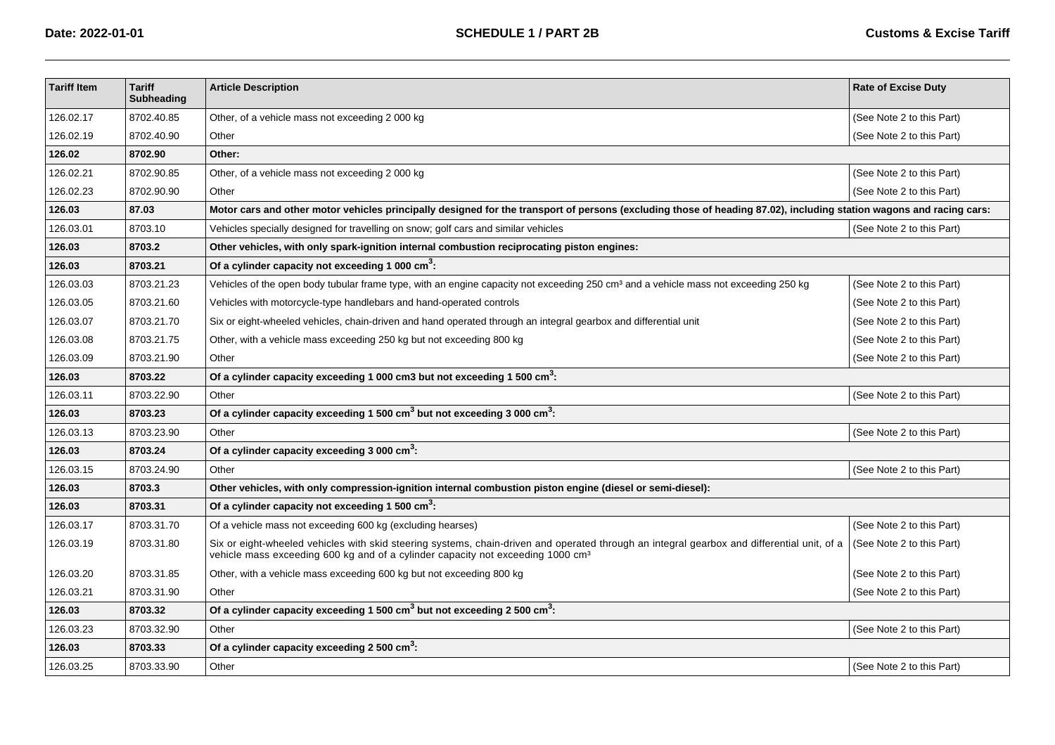| <b>Tariff Item</b> | <b>Tariff</b><br><b>Subheading</b> | <b>Article Description</b>                                                                                                                                                                                                                 | <b>Rate of Excise Duty</b> |  |
|--------------------|------------------------------------|--------------------------------------------------------------------------------------------------------------------------------------------------------------------------------------------------------------------------------------------|----------------------------|--|
| 126.02.17          | 8702.40.85                         | Other, of a vehicle mass not exceeding 2000 kg                                                                                                                                                                                             | (See Note 2 to this Part)  |  |
| 126.02.19          | 8702.40.90                         | Other                                                                                                                                                                                                                                      | (See Note 2 to this Part)  |  |
| 126.02             | 8702.90                            | Other:                                                                                                                                                                                                                                     |                            |  |
| 126.02.21          | 8702.90.85                         | Other, of a vehicle mass not exceeding 2000 kg                                                                                                                                                                                             | (See Note 2 to this Part)  |  |
| 126.02.23          | 8702.90.90                         | Other                                                                                                                                                                                                                                      | (See Note 2 to this Part)  |  |
| 126.03             | 87.03                              | Motor cars and other motor vehicles principally designed for the transport of persons (excluding those of heading 87.02), including station wagons and racing cars:                                                                        |                            |  |
| 126.03.01          | 8703.10                            | Vehicles specially designed for travelling on snow; golf cars and similar vehicles                                                                                                                                                         | (See Note 2 to this Part)  |  |
| 126.03             | 8703.2                             | Other vehicles, with only spark-ignition internal combustion reciprocating piston engines:                                                                                                                                                 |                            |  |
| 126.03             | 8703.21                            | Of a cylinder capacity not exceeding 1 000 $\text{cm}^3$ :                                                                                                                                                                                 |                            |  |
| 126.03.03          | 8703.21.23                         | Vehicles of the open body tubular frame type, with an engine capacity not exceeding 250 cm <sup>3</sup> and a vehicle mass not exceeding 250 kg                                                                                            | (See Note 2 to this Part)  |  |
| 126.03.05          | 8703.21.60                         | Vehicles with motorcycle-type handlebars and hand-operated controls                                                                                                                                                                        | (See Note 2 to this Part)  |  |
| 126.03.07          | 8703.21.70                         | Six or eight-wheeled vehicles, chain-driven and hand operated through an integral gearbox and differential unit                                                                                                                            | (See Note 2 to this Part)  |  |
| 126.03.08          | 8703.21.75                         | Other, with a vehicle mass exceeding 250 kg but not exceeding 800 kg                                                                                                                                                                       | (See Note 2 to this Part)  |  |
| 126.03.09          | 8703.21.90                         | Other                                                                                                                                                                                                                                      | (See Note 2 to this Part)  |  |
| 126.03             | 8703.22                            | Of a cylinder capacity exceeding 1 000 cm3 but not exceeding 1 500 $\text{cm}^3$ :                                                                                                                                                         |                            |  |
| 126.03.11          | 8703.22.90                         | Other                                                                                                                                                                                                                                      | (See Note 2 to this Part)  |  |
| 126.03             | 8703.23                            | Of a cylinder capacity exceeding 1 500 $\text{cm}^3$ but not exceeding 3 000 $\text{cm}^3$ .                                                                                                                                               |                            |  |
| 126.03.13          | 8703.23.90                         | Other                                                                                                                                                                                                                                      | (See Note 2 to this Part)  |  |
| 126.03             | 8703.24                            | Of a cylinder capacity exceeding 3 000 cm <sup>3</sup> :                                                                                                                                                                                   |                            |  |
| 126.03.15          | 8703.24.90                         | Other                                                                                                                                                                                                                                      | (See Note 2 to this Part)  |  |
| 126.03             | 8703.3                             | Other vehicles, with only compression-ignition internal combustion piston engine (diesel or semi-diesel):                                                                                                                                  |                            |  |
| 126.03             | 8703.31                            | Of a cylinder capacity not exceeding 1 500 $\text{cm}^3$ :                                                                                                                                                                                 |                            |  |
| 126.03.17          | 8703.31.70                         | Of a vehicle mass not exceeding 600 kg (excluding hearses)                                                                                                                                                                                 | (See Note 2 to this Part)  |  |
| 126.03.19          | 8703.31.80                         | Six or eight-wheeled vehicles with skid steering systems, chain-driven and operated through an integral gearbox and differential unit, of a<br>vehicle mass exceeding 600 kg and of a cylinder capacity not exceeding 1000 cm <sup>3</sup> | (See Note 2 to this Part)  |  |
| 126.03.20          | 8703.31.85                         | Other, with a vehicle mass exceeding 600 kg but not exceeding 800 kg                                                                                                                                                                       | (See Note 2 to this Part)  |  |
| 126.03.21          | 8703.31.90                         | Other                                                                                                                                                                                                                                      | (See Note 2 to this Part)  |  |
| 126.03             | 8703.32                            | Of a cylinder capacity exceeding 1 500 cm <sup>3</sup> but not exceeding 2 500 cm <sup>3</sup> :                                                                                                                                           |                            |  |
| 126.03.23          | 8703.32.90                         | Other                                                                                                                                                                                                                                      | (See Note 2 to this Part)  |  |
| 126.03             | 8703.33                            | Of a cylinder capacity exceeding 2 500 cm <sup>3</sup> :                                                                                                                                                                                   |                            |  |
| 126.03.25          | 8703.33.90                         | Other                                                                                                                                                                                                                                      | (See Note 2 to this Part)  |  |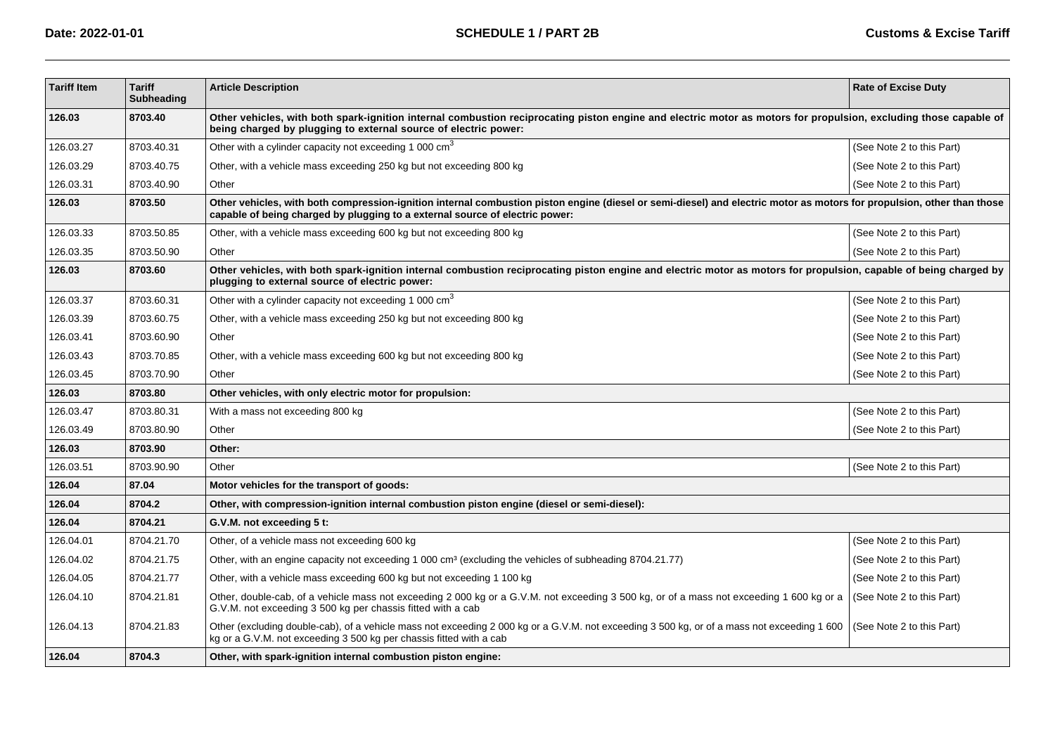| <b>Tariff Item</b> | <b>Tariff</b><br><b>Subheading</b> | <b>Article Description</b>                                                                                                                                                                                                                             | <b>Rate of Excise Duty</b> |  |
|--------------------|------------------------------------|--------------------------------------------------------------------------------------------------------------------------------------------------------------------------------------------------------------------------------------------------------|----------------------------|--|
| 126.03             | 8703.40                            | Other vehicles, with both spark-ignition internal combustion reciprocating piston engine and electric motor as motors for propulsion, excluding those capable of<br>being charged by plugging to external source of electric power:                    |                            |  |
| 126.03.27          | 8703.40.31                         | Other with a cylinder capacity not exceeding 1 000 cm <sup>3</sup>                                                                                                                                                                                     | (See Note 2 to this Part)  |  |
| 126.03.29          | 8703.40.75                         | Other, with a vehicle mass exceeding 250 kg but not exceeding 800 kg                                                                                                                                                                                   | (See Note 2 to this Part)  |  |
| 126.03.31          | 8703.40.90                         | Other                                                                                                                                                                                                                                                  | (See Note 2 to this Part)  |  |
| 126.03             | 8703.50                            | Other vehicles, with both compression-ignition internal combustion piston engine (diesel or semi-diesel) and electric motor as motors for propulsion, other than those<br>capable of being charged by plugging to a external source of electric power: |                            |  |
| 126.03.33          | 8703.50.85                         | Other, with a vehicle mass exceeding 600 kg but not exceeding 800 kg                                                                                                                                                                                   | (See Note 2 to this Part)  |  |
| 126.03.35          | 8703.50.90                         | Other                                                                                                                                                                                                                                                  | (See Note 2 to this Part)  |  |
| 126.03             | 8703.60                            | Other vehicles, with both spark-ignition internal combustion reciprocating piston engine and electric motor as motors for propulsion, capable of being charged by<br>plugging to external source of electric power:                                    |                            |  |
| 126.03.37          | 8703.60.31                         | Other with a cylinder capacity not exceeding 1 000 cm <sup>3</sup>                                                                                                                                                                                     | (See Note 2 to this Part)  |  |
| 126.03.39          | 8703.60.75                         | Other, with a vehicle mass exceeding 250 kg but not exceeding 800 kg                                                                                                                                                                                   | (See Note 2 to this Part)  |  |
| 126.03.41          | 8703.60.90                         | Other                                                                                                                                                                                                                                                  | (See Note 2 to this Part)  |  |
| 126.03.43          | 8703.70.85                         | Other, with a vehicle mass exceeding 600 kg but not exceeding 800 kg                                                                                                                                                                                   | (See Note 2 to this Part)  |  |
| 126.03.45          | 8703.70.90                         | Other                                                                                                                                                                                                                                                  | (See Note 2 to this Part)  |  |
| 126.03             | 8703.80                            | Other vehicles, with only electric motor for propulsion:                                                                                                                                                                                               |                            |  |
| 126.03.47          | 8703.80.31                         | With a mass not exceeding 800 kg                                                                                                                                                                                                                       | (See Note 2 to this Part)  |  |
| 126.03.49          | 8703.80.90                         | Other                                                                                                                                                                                                                                                  | (See Note 2 to this Part)  |  |
| 126.03             | 8703.90                            | Other:                                                                                                                                                                                                                                                 |                            |  |
| 126.03.51          | 8703.90.90                         | Other                                                                                                                                                                                                                                                  | (See Note 2 to this Part)  |  |
| 126.04             | 87.04                              | Motor vehicles for the transport of goods:                                                                                                                                                                                                             |                            |  |
| 126.04             | 8704.2                             | Other, with compression-ignition internal combustion piston engine (diesel or semi-diesel):                                                                                                                                                            |                            |  |
| 126.04             | 8704.21                            | G.V.M. not exceeding 5 t:                                                                                                                                                                                                                              |                            |  |
| 126.04.01          | 8704.21.70                         | Other, of a vehicle mass not exceeding 600 kg                                                                                                                                                                                                          | (See Note 2 to this Part)  |  |
| 126.04.02          | 8704.21.75                         | Other, with an engine capacity not exceeding 1 000 cm <sup>3</sup> (excluding the vehicles of subheading 8704.21.77)                                                                                                                                   | (See Note 2 to this Part)  |  |
| 126.04.05          | 8704.21.77                         | Other, with a vehicle mass exceeding 600 kg but not exceeding 1 100 kg                                                                                                                                                                                 | (See Note 2 to this Part)  |  |
| 126.04.10          | 8704.21.81                         | Other, double-cab, of a vehicle mass not exceeding 2 000 kg or a G.V.M. not exceeding 3 500 kg, or of a mass not exceeding 1 600 kg or a<br>G.V.M. not exceeding 3 500 kg per chassis fitted with a cab                                                | (See Note 2 to this Part)  |  |
| 126.04.13          | 8704.21.83                         | Other (excluding double-cab), of a vehicle mass not exceeding 2 000 kg or a G.V.M. not exceeding 3 500 kg, or of a mass not exceeding 1 600<br>kg or a G.V.M. not exceeding 3 500 kg per chassis fitted with a cab                                     | (See Note 2 to this Part)  |  |
| 126.04             | 8704.3                             | Other, with spark-ignition internal combustion piston engine:                                                                                                                                                                                          |                            |  |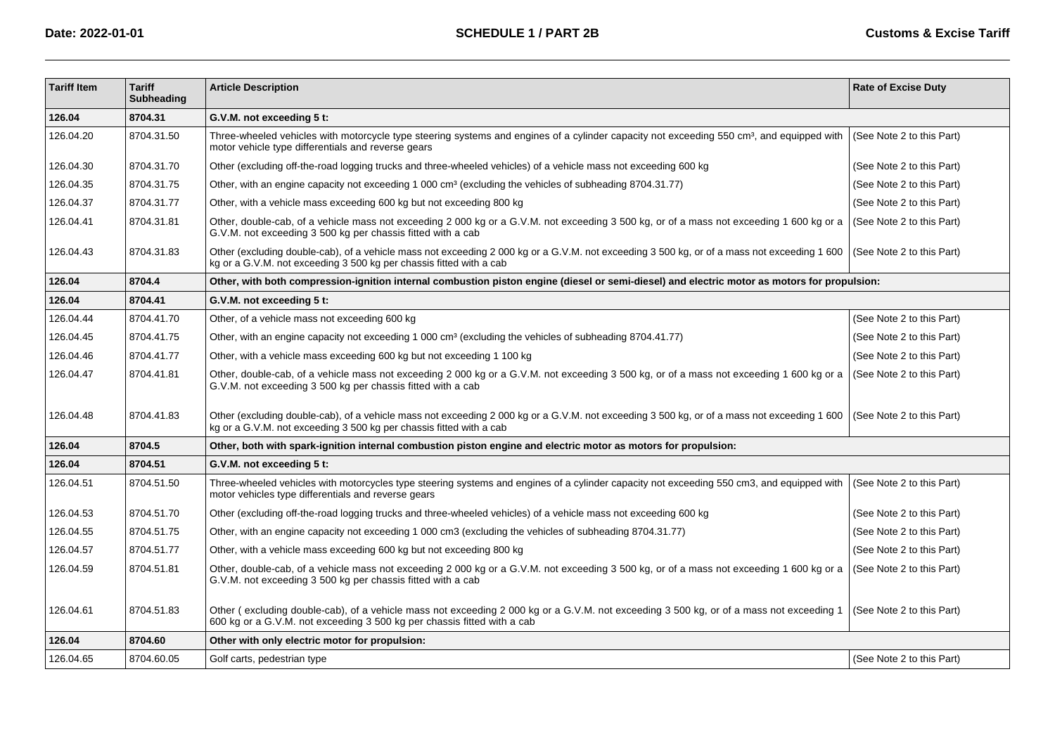| <b>Tariff Item</b> | <b>Tariff</b><br><b>Subheading</b> | <b>Article Description</b>                                                                                                                                                                                         | <b>Rate of Excise Duty</b> |  |
|--------------------|------------------------------------|--------------------------------------------------------------------------------------------------------------------------------------------------------------------------------------------------------------------|----------------------------|--|
| 126.04             | 8704.31                            | G.V.M. not exceeding 5 t:                                                                                                                                                                                          |                            |  |
| 126.04.20          | 8704.31.50                         | Three-wheeled vehicles with motorcycle type steering systems and engines of a cylinder capacity not exceeding 550 cm <sup>3</sup> , and equipped with<br>motor vehicle type differentials and reverse gears        | (See Note 2 to this Part)  |  |
| 126.04.30          | 8704.31.70                         | Other (excluding off-the-road logging trucks and three-wheeled vehicles) of a vehicle mass not exceeding 600 kg                                                                                                    | (See Note 2 to this Part)  |  |
| 126.04.35          | 8704.31.75                         | Other, with an engine capacity not exceeding 1 000 cm <sup>3</sup> (excluding the vehicles of subheading 8704.31.77)                                                                                               | (See Note 2 to this Part)  |  |
| 126.04.37          | 8704.31.77                         | Other, with a vehicle mass exceeding 600 kg but not exceeding 800 kg                                                                                                                                               | (See Note 2 to this Part)  |  |
| 126.04.41          | 8704.31.81                         | Other, double-cab, of a vehicle mass not exceeding 2 000 kg or a G.V.M. not exceeding 3 500 kg, or of a mass not exceeding 1 600 kg or a<br>G.V.M. not exceeding 3 500 kg per chassis fitted with a cab            | (See Note 2 to this Part)  |  |
| 126.04.43          | 8704.31.83                         | Other (excluding double-cab), of a vehicle mass not exceeding 2 000 kg or a G.V.M. not exceeding 3 500 kg, or of a mass not exceeding 1 600<br>kg or a G.V.M. not exceeding 3 500 kg per chassis fitted with a cab | (See Note 2 to this Part)  |  |
| 126.04             | 8704.4                             | Other, with both compression-ignition internal combustion piston engine (diesel or semi-diesel) and electric motor as motors for propulsion:                                                                       |                            |  |
| 126.04             | 8704.41                            | G.V.M. not exceeding 5 t:                                                                                                                                                                                          |                            |  |
| 126.04.44          | 8704.41.70                         | Other, of a vehicle mass not exceeding 600 kg                                                                                                                                                                      | (See Note 2 to this Part)  |  |
| 126.04.45          | 8704.41.75                         | Other, with an engine capacity not exceeding 1 000 cm <sup>3</sup> (excluding the vehicles of subheading 8704.41.77)                                                                                               | (See Note 2 to this Part)  |  |
| 126.04.46          | 8704.41.77                         | Other, with a vehicle mass exceeding 600 kg but not exceeding 1 100 kg                                                                                                                                             | (See Note 2 to this Part)  |  |
| 126.04.47          | 8704.41.81                         | Other, double-cab, of a vehicle mass not exceeding 2 000 kg or a G.V.M. not exceeding 3 500 kg, or of a mass not exceeding 1 600 kg or a<br>G.V.M. not exceeding 3 500 kg per chassis fitted with a cab            | (See Note 2 to this Part)  |  |
| 126.04.48          | 8704.41.83                         | Other (excluding double-cab), of a vehicle mass not exceeding 2 000 kg or a G.V.M. not exceeding 3 500 kg, or of a mass not exceeding 1 600<br>kg or a G.V.M. not exceeding 3 500 kg per chassis fitted with a cab | (See Note 2 to this Part)  |  |
| 126.04             | 8704.5                             | Other, both with spark-ignition internal combustion piston engine and electric motor as motors for propulsion:                                                                                                     |                            |  |
| 126.04             | 8704.51                            | G.V.M. not exceeding 5 t:                                                                                                                                                                                          |                            |  |
| 126.04.51          | 8704.51.50                         | Three-wheeled vehicles with motorcycles type steering systems and engines of a cylinder capacity not exceeding 550 cm3, and equipped with<br>motor vehicles type differentials and reverse gears                   | (See Note 2 to this Part)  |  |
| 126.04.53          | 8704.51.70                         | Other (excluding off-the-road logging trucks and three-wheeled vehicles) of a vehicle mass not exceeding 600 kg                                                                                                    | (See Note 2 to this Part)  |  |
| 126.04.55          | 8704.51.75                         | Other, with an engine capacity not exceeding 1 000 cm3 (excluding the vehicles of subheading 8704.31.77)                                                                                                           | (See Note 2 to this Part)  |  |
| 126.04.57          | 8704.51.77                         | Other, with a vehicle mass exceeding 600 kg but not exceeding 800 kg                                                                                                                                               | (See Note 2 to this Part)  |  |
| 126.04.59          | 8704.51.81                         | Other, double-cab, of a vehicle mass not exceeding 2 000 kg or a G.V.M. not exceeding 3 500 kg, or of a mass not exceeding 1 600 kg or a<br>G.V.M. not exceeding 3 500 kg per chassis fitted with a cab            | (See Note 2 to this Part)  |  |
| 126.04.61          | 8704.51.83                         | Other (excluding double-cab), of a vehicle mass not exceeding 2 000 kg or a G.V.M. not exceeding 3 500 kg, or of a mass not exceeding 1<br>600 kg or a G.V.M. not exceeding 3 500 kg per chassis fitted with a cab | (See Note 2 to this Part)  |  |
| 126.04             | 8704.60                            | Other with only electric motor for propulsion:                                                                                                                                                                     |                            |  |
| 126.04.65          | 8704.60.05                         | Golf carts, pedestrian type                                                                                                                                                                                        | (See Note 2 to this Part)  |  |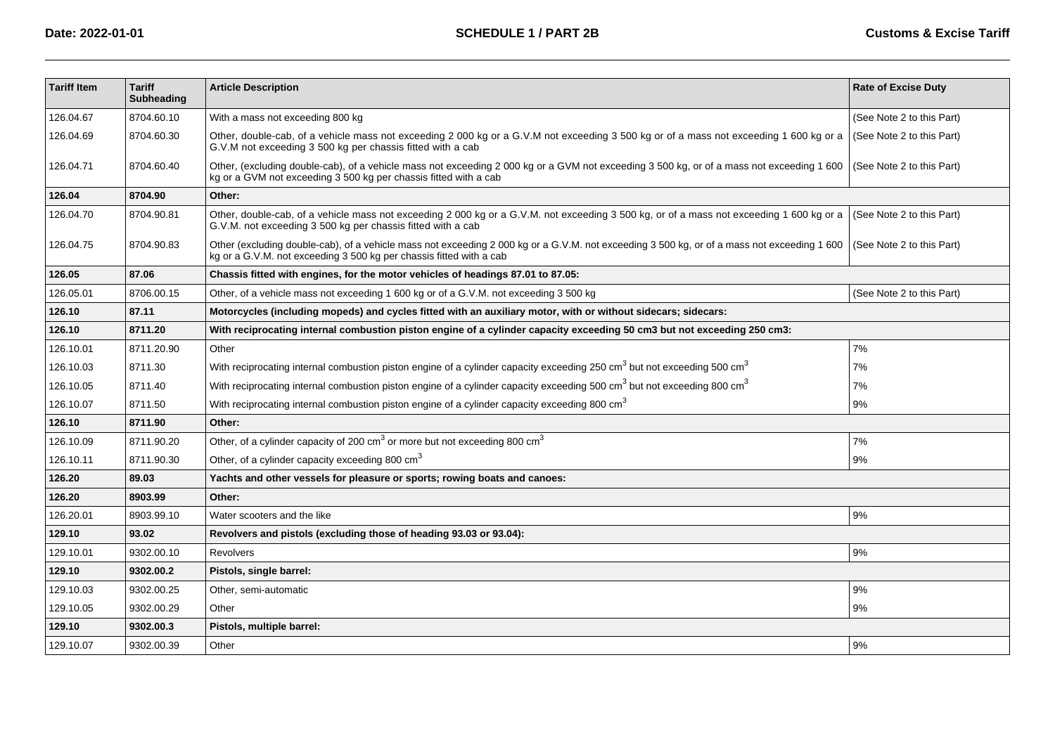| <b>Tariff Item</b> | <b>Tariff</b><br><b>Subheading</b> | <b>Article Description</b>                                                                                                                                                                                        | <b>Rate of Excise Duty</b> |  |
|--------------------|------------------------------------|-------------------------------------------------------------------------------------------------------------------------------------------------------------------------------------------------------------------|----------------------------|--|
| 126.04.67          | 8704.60.10                         | With a mass not exceeding 800 kg                                                                                                                                                                                  | (See Note 2 to this Part)  |  |
| 126.04.69          | 8704.60.30                         | Other, double-cab, of a vehicle mass not exceeding 2 000 kg or a G.V.M not exceeding 3 500 kg or of a mass not exceeding 1 600 kg or a<br>G.V.M not exceeding 3 500 kg per chassis fitted with a cab              | (See Note 2 to this Part)  |  |
| 126.04.71          | 8704.60.40                         | Other, (excluding double-cab), of a vehicle mass not exceeding 2 000 kg or a GVM not exceeding 3 500 kg, or of a mass not exceeding 1 600<br>kg or a GVM not exceeding 3 500 kg per chassis fitted with a cab     | (See Note 2 to this Part)  |  |
| 126.04             | 8704.90                            | Other:                                                                                                                                                                                                            |                            |  |
| 126.04.70          | 8704.90.81                         | Other, double-cab, of a vehicle mass not exceeding 2 000 kg or a G.V.M. not exceeding 3 500 kg, or of a mass not exceeding 1 600 kg or a<br>G.V.M. not exceeding 3 500 kg per chassis fitted with a cab           | (See Note 2 to this Part)  |  |
| 126.04.75          | 8704.90.83                         | Other (excluding double-cab), of a vehicle mass not exceeding 2000 kg or a G.V.M. not exceeding 3 500 kg, or of a mass not exceeding 1 600<br>kg or a G.V.M. not exceeding 3 500 kg per chassis fitted with a cab | (See Note 2 to this Part)  |  |
| 126.05             | 87.06                              | Chassis fitted with engines, for the motor vehicles of headings 87.01 to 87.05:                                                                                                                                   |                            |  |
| 126.05.01          | 8706.00.15                         | Other, of a vehicle mass not exceeding 1 600 kg or of a G.V.M. not exceeding 3 500 kg                                                                                                                             | (See Note 2 to this Part)  |  |
| 126.10             | 87.11                              | Motorcycles (including mopeds) and cycles fitted with an auxiliary motor, with or without sidecars; sidecars:                                                                                                     |                            |  |
| 126.10             | 8711.20                            | With reciprocating internal combustion piston engine of a cylinder capacity exceeding 50 cm3 but not exceeding 250 cm3:                                                                                           |                            |  |
| 126.10.01          | 8711.20.90                         | Other                                                                                                                                                                                                             | 7%                         |  |
| 126.10.03          | 8711.30                            | With reciprocating internal combustion piston engine of a cylinder capacity exceeding 250 cm <sup>3</sup> but not exceeding 500 cm <sup>3</sup>                                                                   | 7%                         |  |
| 126.10.05          | 8711.40                            | With reciprocating internal combustion piston engine of a cylinder capacity exceeding 500 cm <sup>3</sup> but not exceeding 800 cm <sup>3</sup>                                                                   | 7%                         |  |
| 126.10.07          | 8711.50                            | With reciprocating internal combustion piston engine of a cylinder capacity exceeding 800 cm $^3$                                                                                                                 | 9%                         |  |
| 126.10             | 8711.90                            | Other:                                                                                                                                                                                                            |                            |  |
| 126.10.09          | 8711.90.20                         | Other, of a cylinder capacity of 200 $\text{cm}^3$ or more but not exceeding 800 $\text{cm}^3$                                                                                                                    | 7%                         |  |
| 126.10.11          | 8711.90.30                         | Other, of a cylinder capacity exceeding 800 cm <sup>3</sup>                                                                                                                                                       | 9%                         |  |
| 126.20             | 89.03                              | Yachts and other vessels for pleasure or sports; rowing boats and canoes:                                                                                                                                         |                            |  |
| 126.20             | 8903.99                            | Other:                                                                                                                                                                                                            |                            |  |
| 126.20.01          | 8903.99.10                         | Water scooters and the like                                                                                                                                                                                       | 9%                         |  |
| 129.10             | 93.02                              | Revolvers and pistols (excluding those of heading 93.03 or 93.04):                                                                                                                                                |                            |  |
| 129.10.01          | 9302.00.10                         | <b>Revolvers</b>                                                                                                                                                                                                  | 9%                         |  |
| 129.10             | 9302.00.2                          | Pistols, single barrel:                                                                                                                                                                                           |                            |  |
| 129.10.03          | 9302.00.25                         | Other, semi-automatic                                                                                                                                                                                             | 9%                         |  |
| 129.10.05          | 9302.00.29                         | Other                                                                                                                                                                                                             | 9%                         |  |
| 129.10             | 9302.00.3                          | Pistols, multiple barrel:                                                                                                                                                                                         |                            |  |
| 129.10.07          | 9302.00.39                         | Other                                                                                                                                                                                                             | 9%                         |  |